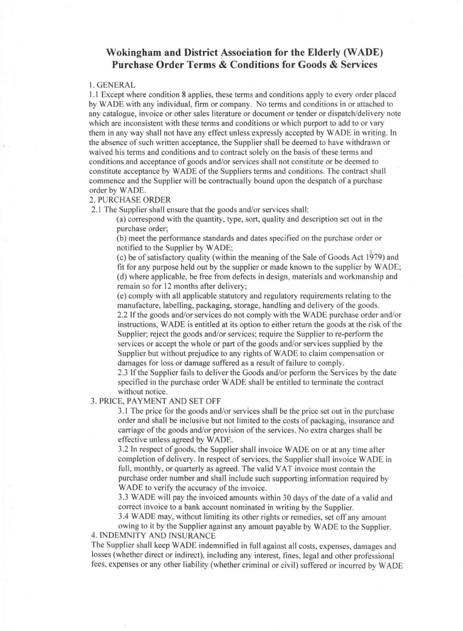# **Wokingham and District Association for the Elderly (WADE) Purchase Order Terms & Conditions for Goods & Services**

#### 1. GENERAL

1.1 Except where condition 8 applies, these terms and conditions apply to every order placed by WADE with any individual, firm or company. No terms and conditions in or attached to any catalogue, invoice or other sales literature or document or tender or dispatch/delivery note which are inconsistent with these terms and conditions or which purport to add to or vary them in any way shall not have any effect unless expressly accepted by WADE in writing. In the absence of such written acceptance, the Supplier shall be deemed to have withdrawn or waived his terms and conditions and to contract solely on the basis of these terms and conditions and acceptance of goods and/or services shall not constitute or be deemed to constitute acceptance by WADE of the Suppliers terms and conditions. The contract shall commence and the Supplier will be contractually bound upon the despatch of a purchase order by WADE.

## 2. PURCHASE ORDER

2.1 The Supplier shall ensure that the goods and/or services shall:

(a) correspond with the quantity, type, sort, quality and description set out in the purchase order;

(b) meet the performance standards and dates specified on the purchase order or notified to the Supplier by WADE;

(c) be of satisfactory quality (within the meaning of the Sale of Goods Act 1979) and fit for any purpose held out by the supplier or made known to the supplier by WADE; (d) where applicable, be free from defects in design, materials and workmanship and remain so for 12 months after delivery;

(e) comply with all applicable statutory and regulatory requirements relating to the manufacture, labelling, packaging, storage, handling and delivery of the goods. 2.2 If the goods and/or services do not comply with the WADE purchase order and/or instructions, WADE is entitled at its option to either return the goods at the risk of the Supplier; reject the goods and/or services; require the Supplier to re-perform the services or accept the whole or part of the goods and/or services supplied by the Supplier but without prejudice to any rights of WADE to claim compensation or damages for loss or damage suffered as a result of failure to comply.

2.3 If the Supplier fails to deliver the Goods and/or perform the Services by the date specified in the purchase order WADE shall be entitled to terminate the contract without notice.

3. PRICE, PAYMENT AND SET OFF

3.1 The price for the goods and/or services shall be the price set out in the purchase order and shall be inclusive but not limited to the costs of packaging, insurance and carriage of the goods and/or provision of the services. No extra charges shall be effective unless agreed by WADE.

3.2 In respect of goods, the Supplier shall invoice WADE on or at any time after completion of delivery. In respect of services, the Supplier shall invoice WADE in full, monthly, or quarterly as agreed. The valid VAT invoice must contain the purchase order number and shall include such supporting information required by WADE to verify the accuracy of the invoice.

3.3 WADE will pay the invoiced amounts within 30 days of the date of a valid and correct invoice to a bank account nominated in writing by the Supplier.

3.4 WADE may, without limiting its other rights or remedies, set off any amount

owing to it by the Supplier against any amount payable by WADE to the Supplier. 4. INDEMNITY AND INSURANCE

The Supplier shall keep WADE indemnified in full against all costs, expenses, damages and losses (whether direct or indirect), including any interest, fines, legal and other professional fees, expenses or any other liability (whether criminal or civil) suffered or incurred by WADE